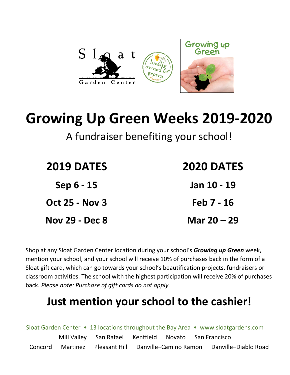

## **Growing Up Green Weeks 2019-2020**

A fundraiser benefiting your school!

| <b>2019 DATES</b>     | <b>2020 DATES</b> |
|-----------------------|-------------------|
| Sep 6 - 15            | Jan 10 - 19       |
| <b>Oct 25 - Nov 3</b> | Feb 7 - 16        |
| <b>Nov 29 - Dec 8</b> | Mar 20 – 29       |

Shop at any Sloat Garden Center location during your school's *Growing up Green* week, mention your school, and your school will receive 10% of purchases back in the form of a Sloat gift card, which can go towards your school's beautification projects, fundraisers or classroom activities. The school with the highest participation will receive 20% of purchases back. *Please note: Purchase of gift cards do not apply.*

## **Just mention your school to the cashier!**

|         |                                                       |                       |  | Sloat Garden Center • 13 locations throughout the Bay Area • www.sloatgardens.com |
|---------|-------------------------------------------------------|-----------------------|--|-----------------------------------------------------------------------------------|
|         | Mill Valley San Rafael Kentfield Novato San Francisco |                       |  |                                                                                   |
| Concord | Martinez Pleasant Hill                                | Danville-Camino Ramon |  | Danville-Diablo Road                                                              |